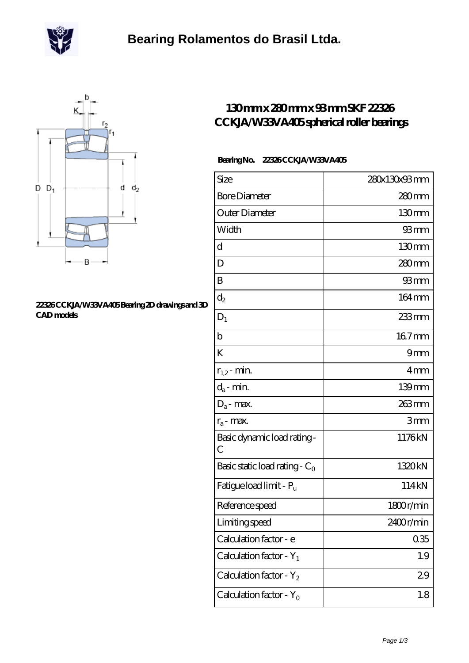



## **[22326 CCKJA/W33VA405 Bearing 2D drawings and 3D](https://m.scottrobertalexander.com/pic-539669.html) [CAD models](https://m.scottrobertalexander.com/pic-539669.html)**

## **[130 mm x 280 mm x 93 mm SKF 22326](https://m.scottrobertalexander.com/skf-22326-cckja-w33va405-bearing/) [CCKJA/W33VA405 spherical roller bearings](https://m.scottrobertalexander.com/skf-22326-cckja-w33va405-bearing/)**

## **Bearing No. 22326 CCKJA/W33VA405**

| Size                                | 280x130x93mm      |
|-------------------------------------|-------------------|
| <b>Bore Diameter</b>                | $280$ mm          |
| Outer Diameter                      | 130mm             |
| Width                               | 93mm              |
| d                                   | 130 <sub>mm</sub> |
| D                                   | 280mm             |
| B                                   | 93 mm             |
| $d_2$                               | 164mm             |
| $D_1$                               | $233$ mm          |
| $\mathbf b$                         | 167mm             |
| K                                   | 9mm               |
| $r_{1,2}$ - min.                    | 4mm               |
| $d_a$ - min.                        | $139$ mm          |
| $D_a$ - max.                        | 263mm             |
| $r_a$ - max.                        | 3mm               |
| Basic dynamic load rating-<br>С     | 1176kN            |
| Basic static load rating - $C_0$    | 1320kN            |
| Fatigue load limit - P <sub>u</sub> | 114kN             |
| Reference speed                     | 1800r/min         |
| Limiting speed                      | 2400r/min         |
| Calculation factor - e              | 035               |
| Calculation factor - $Y_1$          | 1.9               |
| Calculation factor - $Y_2$          | 29                |
| Calculation factor - $Y_0$          | 1.8               |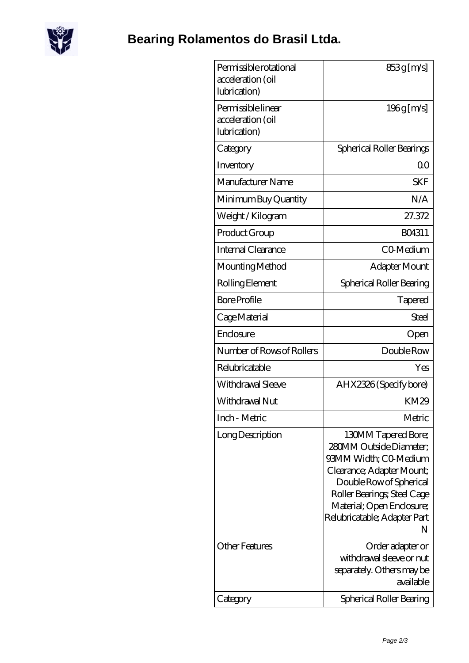

| Permissible rotational<br>acceleration (oil<br>lubrication) | 853g [m/s]                                                                                                                                                                                                                       |
|-------------------------------------------------------------|----------------------------------------------------------------------------------------------------------------------------------------------------------------------------------------------------------------------------------|
| Permissible linear<br>acceleration (oil<br>lubrication)     | $196g$ [m/s]                                                                                                                                                                                                                     |
| Category                                                    | Spherical Roller Bearings                                                                                                                                                                                                        |
| Inventory                                                   | 0 <sup>0</sup>                                                                                                                                                                                                                   |
| Manufacturer Name                                           | <b>SKF</b>                                                                                                                                                                                                                       |
| Minimum Buy Quantity                                        | N/A                                                                                                                                                                                                                              |
| Weight /Kilogram                                            | 27.372                                                                                                                                                                                                                           |
| Product Group                                               | BO4311                                                                                                                                                                                                                           |
| Internal Clearance                                          | C <sub>0</sub> Medium                                                                                                                                                                                                            |
| Mounting Method                                             | Adapter Mount                                                                                                                                                                                                                    |
| Rolling Element                                             | Spherical Roller Bearing                                                                                                                                                                                                         |
| <b>Bore Profile</b>                                         | Tapered                                                                                                                                                                                                                          |
| Cage Material                                               | Steel                                                                                                                                                                                                                            |
| Enclosure                                                   | Open                                                                                                                                                                                                                             |
| Number of Rows of Rollers                                   | Double Row                                                                                                                                                                                                                       |
| Relubricatable                                              | Yes                                                                                                                                                                                                                              |
| Withdrawal Sleeve                                           | AHX2326 (Specify bore)                                                                                                                                                                                                           |
| Withdrawal Nut                                              | KM29                                                                                                                                                                                                                             |
| Inch - Metric                                               | Metric                                                                                                                                                                                                                           |
| Long Description                                            | 130MM Tapered Bore;<br>280MM Outside Diameter:<br>93MM Width; CO Medium<br>Clearance; Adapter Mount;<br>Double Row of Spherical<br>Roller Bearings; Steel Cage<br>Material; Open Enclosure;<br>Relubricatable; Adapter Part<br>N |
| <b>Other Features</b><br>Category                           | Order adapter or<br>withdrawal sleeve or nut<br>separately. Others may be<br>available<br>Spherical Roller Bearing                                                                                                               |
|                                                             |                                                                                                                                                                                                                                  |